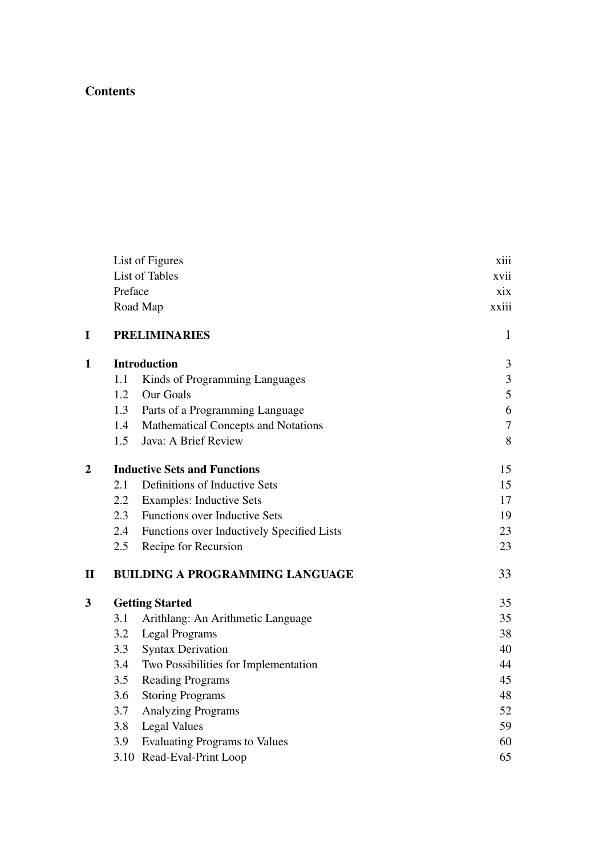## **Contents**

|                |                                     | List of Figures                            | xiii  |  |
|----------------|-------------------------------------|--------------------------------------------|-------|--|
|                |                                     | List of Tables                             | xvii  |  |
|                | Preface                             |                                            | xix   |  |
|                |                                     | Road Map                                   | xxiii |  |
| $\mathbf I$    |                                     | <b>PRELIMINARIES</b>                       | 1     |  |
| $\mathbf{1}$   |                                     | <b>Introduction</b>                        | 3     |  |
|                | 1.1                                 | Kinds of Programming Languages             | 3     |  |
|                | 1.2                                 | Our Goals                                  | 5     |  |
|                | 1.3                                 | Parts of a Programming Language            | 6     |  |
|                | 1.4                                 | Mathematical Concepts and Notations        | 7     |  |
|                | 1.5                                 | Java: A Brief Review                       | 8     |  |
| $\overline{2}$ | <b>Inductive Sets and Functions</b> |                                            | 15    |  |
|                | 2.1                                 | Definitions of Inductive Sets              | 15    |  |
|                | 2.2                                 | <b>Examples: Inductive Sets</b>            | 17    |  |
|                | 2.3                                 | Functions over Inductive Sets              | 19    |  |
|                | 2.4                                 | Functions over Inductively Specified Lists | 23    |  |
|                | 2.5                                 | Recipe for Recursion                       | 23    |  |
| $\mathbf{I}$   |                                     | <b>BUILDING A PROGRAMMING LANGUAGE</b>     | 33    |  |
| 3              |                                     | <b>Getting Started</b>                     | 35    |  |
|                | 3.1                                 | Arithlang: An Arithmetic Language          | 35    |  |
|                | 3.2                                 | <b>Legal Programs</b>                      | 38    |  |
|                | 3.3                                 | <b>Syntax Derivation</b>                   | 40    |  |
|                | 3.4                                 | Two Possibilities for Implementation       | 44    |  |
|                | 3.5                                 | <b>Reading Programs</b>                    | 45    |  |
|                | 3.6                                 | <b>Storing Programs</b>                    | 48    |  |
|                | 3.7                                 | Analyzing Programs                         | 52    |  |
|                | 3.8                                 | <b>Legal Values</b>                        | 59    |  |
|                | 3.9                                 | <b>Evaluating Programs to Values</b>       | 60    |  |
|                |                                     | 3.10 Read-Eval-Print Loop                  | 65    |  |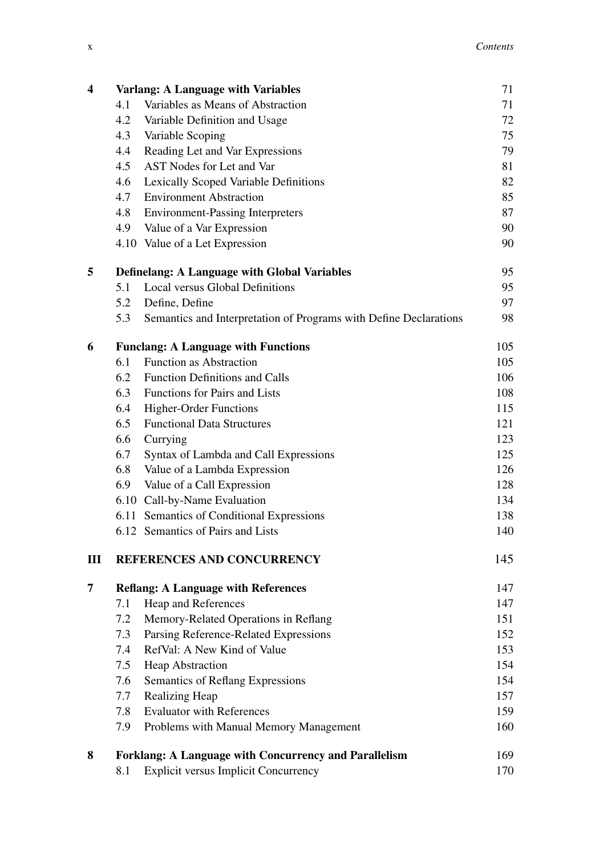| 4 | Varlang: A Language with Variables                  |                                                                   | 71  |
|---|-----------------------------------------------------|-------------------------------------------------------------------|-----|
|   | 4.1                                                 | Variables as Means of Abstraction                                 | 71  |
|   | 4.2                                                 | Variable Definition and Usage                                     | 72  |
|   | 4.3                                                 | Variable Scoping                                                  | 75  |
|   | 4.4                                                 | Reading Let and Var Expressions                                   | 79  |
|   | 4.5                                                 | AST Nodes for Let and Var                                         | 81  |
|   | 4.6                                                 | Lexically Scoped Variable Definitions                             | 82  |
|   | 4.7                                                 | <b>Environment Abstraction</b>                                    | 85  |
|   | 4.8                                                 | <b>Environment-Passing Interpreters</b>                           | 87  |
|   | 4.9                                                 | Value of a Var Expression                                         | 90  |
|   |                                                     | 4.10 Value of a Let Expression                                    | 90  |
| 5 | <b>Definelang: A Language with Global Variables</b> |                                                                   |     |
|   | 5.1                                                 | Local versus Global Definitions                                   | 95  |
|   | 5.2                                                 | Define, Define                                                    | 97  |
|   | 5.3                                                 | Semantics and Interpretation of Programs with Define Declarations | 98  |
| 6 |                                                     | <b>Funclang: A Language with Functions</b>                        | 105 |
|   | 6.1                                                 | <b>Function as Abstraction</b>                                    | 105 |
|   | 6.2                                                 | <b>Function Definitions and Calls</b>                             | 106 |
|   | 6.3                                                 | Functions for Pairs and Lists                                     | 108 |
|   | 6.4                                                 | <b>Higher-Order Functions</b>                                     | 115 |
|   | 6.5                                                 | <b>Functional Data Structures</b>                                 | 121 |
|   | 6.6                                                 | Currying                                                          | 123 |
|   | 6.7                                                 | Syntax of Lambda and Call Expressions                             | 125 |
|   | 6.8                                                 | Value of a Lambda Expression                                      | 126 |
|   | 6.9                                                 | Value of a Call Expression                                        | 128 |
|   |                                                     | 6.10 Call-by-Name Evaluation                                      | 134 |
|   |                                                     | 6.11 Semantics of Conditional Expressions                         | 138 |
|   |                                                     | 6.12 Semantics of Pairs and Lists                                 | 140 |
| Ш |                                                     | REFERENCES AND CONCURRENCY                                        | 145 |
| 7 |                                                     | <b>Reflang: A Language with References</b>                        | 147 |
|   | 7.1                                                 | Heap and References                                               | 147 |
|   | 7.2                                                 | Memory-Related Operations in Reflang                              | 151 |
|   | 7.3                                                 | Parsing Reference-Related Expressions                             | 152 |
|   | 7.4                                                 | RefVal: A New Kind of Value                                       | 153 |
|   | 7.5                                                 | <b>Heap Abstraction</b>                                           | 154 |
|   | 7.6                                                 | Semantics of Reflang Expressions                                  | 154 |
|   | 7.7                                                 | Realizing Heap                                                    | 157 |
|   | 7.8                                                 | <b>Evaluator with References</b>                                  | 159 |
|   | 7.9                                                 | Problems with Manual Memory Management                            | 160 |
| 8 |                                                     | <b>Forklang: A Language with Concurrency and Parallelism</b>      | 169 |
|   | 8.1                                                 | <b>Explicit versus Implicit Concurrency</b>                       | 170 |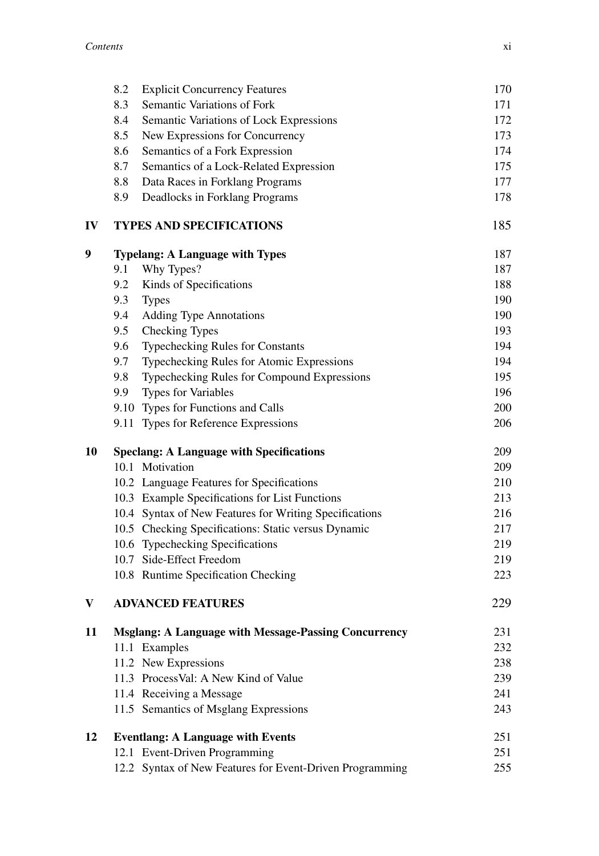|    | 8.2<br><b>Explicit Concurrency Features</b>                 | 170 |
|----|-------------------------------------------------------------|-----|
|    | 8.3<br>Semantic Variations of Fork                          | 171 |
|    | 8.4<br>Semantic Variations of Lock Expressions              | 172 |
|    | 8.5<br>New Expressions for Concurrency                      | 173 |
|    | 8.6<br>Semantics of a Fork Expression                       | 174 |
|    | 8.7<br>Semantics of a Lock-Related Expression               | 175 |
|    | 8.8<br>Data Races in Forklang Programs                      | 177 |
|    | 8.9<br>Deadlocks in Forklang Programs                       | 178 |
| IV | <b>TYPES AND SPECIFICATIONS</b>                             | 185 |
| 9  | <b>Typelang: A Language with Types</b>                      | 187 |
|    | 9.1<br>Why Types?                                           | 187 |
|    | Kinds of Specifications<br>9.2                              | 188 |
|    | 9.3<br><b>Types</b>                                         | 190 |
|    | <b>Adding Type Annotations</b><br>9.4                       | 190 |
|    | Checking Types<br>9.5                                       | 193 |
|    | 9.6<br>Typechecking Rules for Constants                     | 194 |
|    | 9.7<br>Typechecking Rules for Atomic Expressions            | 194 |
|    | Typechecking Rules for Compound Expressions<br>9.8          | 195 |
|    | <b>Types for Variables</b><br>9.9                           | 196 |
|    | 9.10 Types for Functions and Calls                          | 200 |
|    | 9.11 Types for Reference Expressions                        | 206 |
| 10 | <b>Speclang: A Language with Specifications</b>             | 209 |
|    | 10.1 Motivation                                             | 209 |
|    | 10.2 Language Features for Specifications                   | 210 |
|    | 10.3 Example Specifications for List Functions              | 213 |
|    | 10.4 Syntax of New Features for Writing Specifications      | 216 |
|    | 10.5 Checking Specifications: Static versus Dynamic         | 217 |
|    | 10.6 Typechecking Specifications                            | 219 |
|    | 10.7 Side-Effect Freedom                                    | 219 |
|    | 10.8 Runtime Specification Checking                         | 223 |
| V  | <b>ADVANCED FEATURES</b>                                    | 229 |
| 11 | <b>Msglang: A Language with Message-Passing Concurrency</b> | 231 |
|    | 11.1 Examples                                               | 232 |
|    | 11.2 New Expressions                                        | 238 |
|    | 11.3 ProcessVal: A New Kind of Value                        | 239 |
|    | 11.4 Receiving a Message                                    | 241 |
|    | 11.5 Semantics of Msglang Expressions                       | 243 |
| 12 | <b>Eventlang: A Language with Events</b>                    | 251 |
|    | 12.1 Event-Driven Programming                               | 251 |
|    | 12.2 Syntax of New Features for Event-Driven Programming    | 255 |